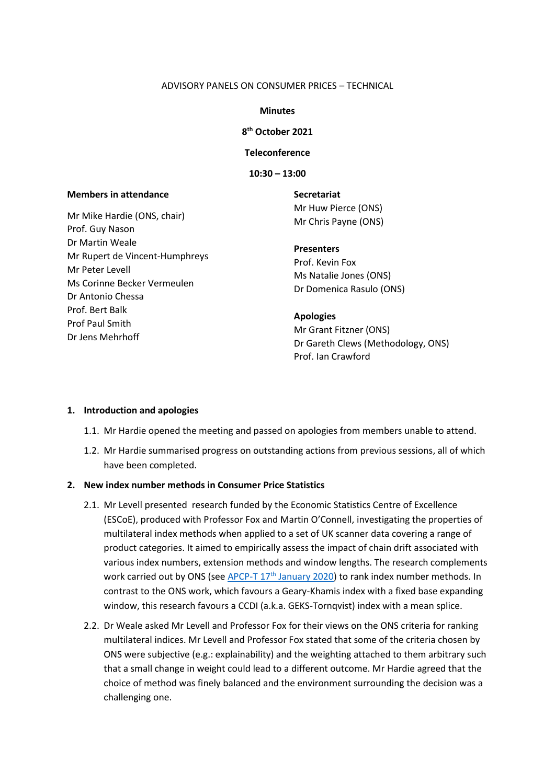#### ADVISORY PANELS ON CONSUMER PRICES – TECHNICAL

#### **Minutes**

## **8 th October 2021**

## **Teleconference**

## **10:30 – 13:00**

## **Members in attendance**

Mr Mike Hardie (ONS, chair) Prof. Guy Nason Dr Martin Weale Mr Rupert de Vincent-Humphreys Mr Peter Levell Ms Corinne Becker Vermeulen Dr Antonio Chessa Prof. Bert Balk Prof Paul Smith Dr Jens Mehrhoff

**Secretariat** Mr Huw Pierce (ONS) Mr Chris Payne (ONS)

### **Presenters**

Prof. Kevin Fox Ms Natalie Jones (ONS) Dr Domenica Rasulo (ONS)

### **Apologies**

Mr Grant Fitzner (ONS) Dr Gareth Clews (Methodology, ONS) Prof. Ian Crawford

#### **1. Introduction and apologies**

- 1.1. Mr Hardie opened the meeting and passed on apologies from members unable to attend.
- 1.2. Mr Hardie summarised progress on outstanding actions from previous sessions, all of which have been completed.

## **2. New index number methods in Consumer Price Statistics**

- 2.1. Mr Levell presented research funded by the Economic Statistics Centre of Excellence (ESCoE), produced with Professor Fox and Martin O'Connell, investigating the properties of multilateral index methods when applied to a set of UK scanner data covering a range of product categories. It aimed to empirically assess the impact of chain drift associated with various index numbers, extension methods and window lengths. The research complements work carried out by ONS (see APCP-T  $17<sup>th</sup>$  [January 2020\)](https://uksa.statisticsauthority.gov.uk/the-authority-board/committees/national-statisticians-advisory-committees-and-panels/advisory-panels-for-consumer-price-statistics/technical/minutes-and-papers/) to rank index number methods. In contrast to the ONS work, which favours a Geary-Khamis index with a fixed base expanding window, this research favours a CCDI (a.k.a. GEKS-Tornqvist) index with a mean splice.
- 2.2. Dr Weale asked Mr Levell and Professor Fox for their views on the ONS criteria for ranking multilateral indices. Mr Levell and Professor Fox stated that some of the criteria chosen by ONS were subjective (e.g.: explainability) and the weighting attached to them arbitrary such that a small change in weight could lead to a different outcome. Mr Hardie agreed that the choice of method was finely balanced and the environment surrounding the decision was a challenging one.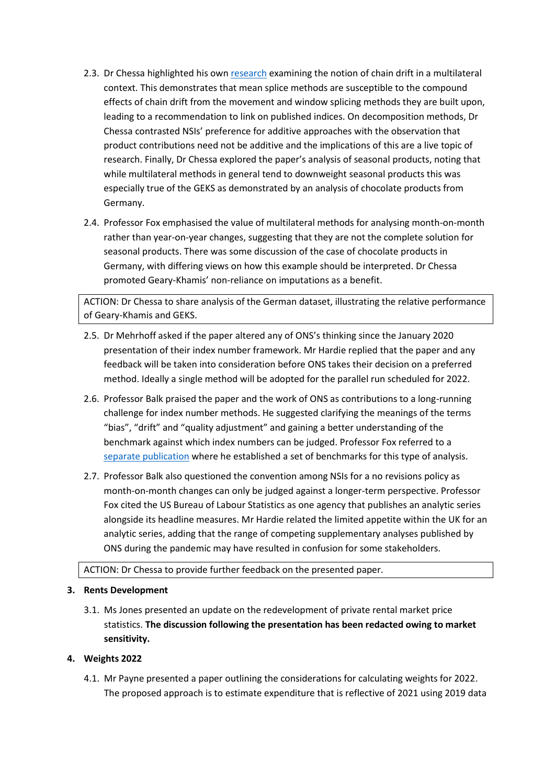- 2.3. Dr Chessa highlighted his ow[n research](https://unece.org/sites/default/files/2021-05/Session_1_Netherlands_Paper.pdf) examining the notion of chain drift in a multilateral context. This demonstrates that mean splice methods are susceptible to the compound effects of chain drift from the movement and window splicing methods they are built upon, leading to a recommendation to link on published indices. On decomposition methods, Dr Chessa contrasted NSIs' preference for additive approaches with the observation that product contributions need not be additive and the implications of this are a live topic of research. Finally, Dr Chessa explored the paper's analysis of seasonal products, noting that while multilateral methods in general tend to downweight seasonal products this was especially true of the GEKS as demonstrated by an analysis of chocolate products from Germany.
- 2.4. Professor Fox emphasised the value of multilateral methods for analysing month-on-month rather than year-on-year changes, suggesting that they are not the complete solution for seasonal products. There was some discussion of the case of chocolate products in Germany, with differing views on how this example should be interpreted. Dr Chessa promoted Geary-Khamis' non-reliance on imputations as a benefit.

ACTION: Dr Chessa to share analysis of the German dataset, illustrating the relative performance of Geary-Khamis and GEKS.

- 2.5. Dr Mehrhoff asked if the paper altered any of ONS's thinking since the January 2020 presentation of their index number framework. Mr Hardie replied that the paper and any feedback will be taken into consideration before ONS takes their decision on a preferred method. Ideally a single method will be adopted for the parallel run scheduled for 2022.
- 2.6. Professor Balk praised the paper and the work of ONS as contributions to a long-running challenge for index number methods. He suggested clarifying the meanings of the terms "bias", "drift" and "quality adjustment" and gaining a better understanding of the benchmark against which index numbers can be judged. Professor Fox referred to a [separate publication](https://www.tandfonline.com/doi/full/10.1080/07350015.2020.1816176) where he established a set of benchmarks for this type of analysis.
- 2.7. Professor Balk also questioned the convention among NSIs for a no revisions policy as month-on-month changes can only be judged against a longer-term perspective. Professor Fox cited the US Bureau of Labour Statistics as one agency that publishes an analytic series alongside its headline measures. Mr Hardie related the limited appetite within the UK for an analytic series, adding that the range of competing supplementary analyses published by ONS during the pandemic may have resulted in confusion for some stakeholders.

## ACTION: Dr Chessa to provide further feedback on the presented paper.

# **3. Rents Development**

3.1. Ms Jones presented an update on the redevelopment of private rental market price statistics. **The discussion following the presentation has been redacted owing to market sensitivity.**

# **4. Weights 2022**

4.1. Mr Payne presented a paper outlining the considerations for calculating weights for 2022. The proposed approach is to estimate expenditure that is reflective of 2021 using 2019 data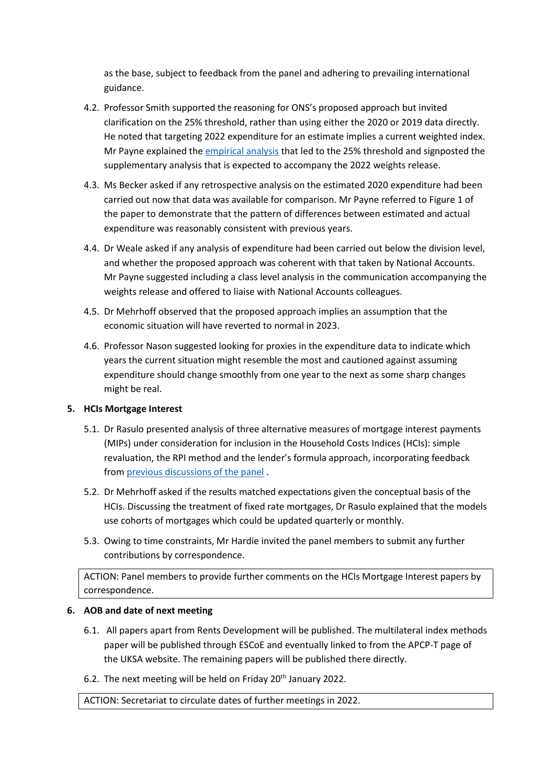as the base, subject to feedback from the panel and adhering to prevailing international guidance.

- 4.2. Professor Smith supported the reasoning for ONS's proposed approach but invited clarification on the 25% threshold, rather than using either the 2020 or 2019 data directly. He noted that targeting 2022 expenditure for an estimate implies a current weighted index. Mr Payne explained the [empirical analysis](https://www.ons.gov.uk/economy/inflationandpriceindices/articles/consumerpriceinflationupdatingweights/2021) that led to the 25% threshold and signposted the supplementary analysis that is expected to accompany the 2022 weights release.
- 4.3. Ms Becker asked if any retrospective analysis on the estimated 2020 expenditure had been carried out now that data was available for comparison. Mr Payne referred to Figure 1 of the paper to demonstrate that the pattern of differences between estimated and actual expenditure was reasonably consistent with previous years.
- 4.4. Dr Weale asked if any analysis of expenditure had been carried out below the division level, and whether the proposed approach was coherent with that taken by National Accounts. Mr Payne suggested including a class level analysis in the communication accompanying the weights release and offered to liaise with National Accounts colleagues.
- 4.5. Dr Mehrhoff observed that the proposed approach implies an assumption that the economic situation will have reverted to normal in 2023.
- 4.6. Professor Nason suggested looking for proxies in the expenditure data to indicate which years the current situation might resemble the most and cautioned against assuming expenditure should change smoothly from one year to the next as some sharp changes might be real.

# **5. HCIs Mortgage Interest**

- 5.1. Dr Rasulo presented analysis of three alternative measures of mortgage interest payments (MIPs) under consideration for inclusion in the Household Costs Indices (HCIs): simple revaluation, the RPI method and the lender's formula approach, incorporating feedback from [previous discussions of the panel](https://uksa.statisticsauthority.gov.uk/the-authority-board/committees/national-statisticians-advisory-committees-and-panels/advisory-panels-for-consumer-price-statistics/technical/minutes-and-papers/#pid-minutes-april-2021) .
- 5.2. Dr Mehrhoff asked if the results matched expectations given the conceptual basis of the HCIs. Discussing the treatment of fixed rate mortgages, Dr Rasulo explained that the models use cohorts of mortgages which could be updated quarterly or monthly.
- 5.3. Owing to time constraints, Mr Hardie invited the panel members to submit any further contributions by correspondence.

ACTION: Panel members to provide further comments on the HCIs Mortgage Interest papers by correspondence.

# **6. AOB and date of next meeting**

- 6.1. All papers apart from Rents Development will be published. The multilateral index methods paper will be published through ESCoE and eventually linked to from the APCP-T page of the UKSA website. The remaining papers will be published there directly.
- 6.2. The next meeting will be held on Friday 20<sup>th</sup> January 2022.

ACTION: Secretariat to circulate dates of further meetings in 2022.